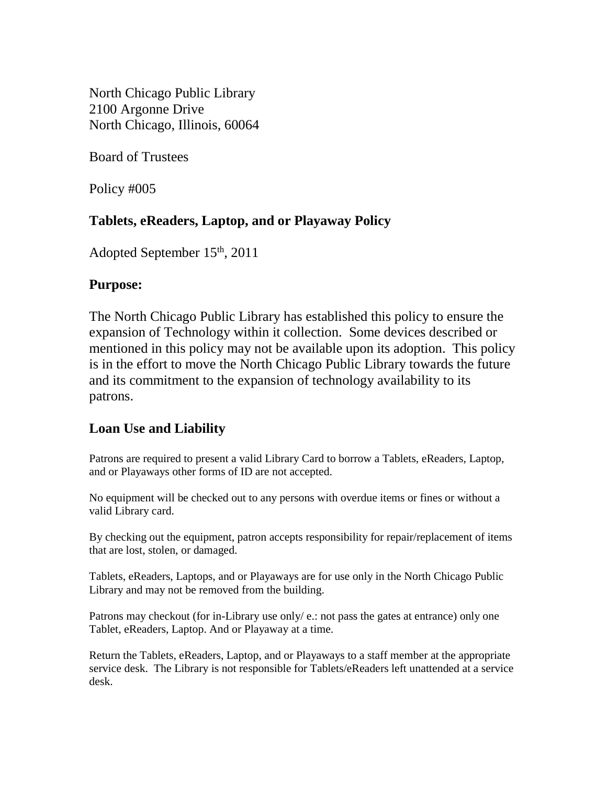North Chicago Public Library 2100 Argonne Drive North Chicago, Illinois, 60064

Board of Trustees

Policy #005

# **Tablets, eReaders, Laptop, and or Playaway Policy**

Adopted September 15th, 2011

## **Purpose:**

The North Chicago Public Library has established this policy to ensure the expansion of Technology within it collection. Some devices described or mentioned in this policy may not be available upon its adoption. This policy is in the effort to move the North Chicago Public Library towards the future and its commitment to the expansion of technology availability to its patrons.

# **Loan Use and Liability**

Patrons are required to present a valid Library Card to borrow a Tablets, eReaders, Laptop, and or Playaways other forms of ID are not accepted.

No equipment will be checked out to any persons with overdue items or fines or without a valid Library card.

By checking out the equipment, patron accepts responsibility for repair/replacement of items that are lost, stolen, or damaged.

Tablets, eReaders, Laptops, and or Playaways are for use only in the North Chicago Public Library and may not be removed from the building.

Patrons may checkout (for in-Library use only/e.: not pass the gates at entrance) only one Tablet, eReaders, Laptop. And or Playaway at a time.

Return the Tablets, eReaders, Laptop, and or Playaways to a staff member at the appropriate service desk. The Library is not responsible for Tablets/eReaders left unattended at a service desk.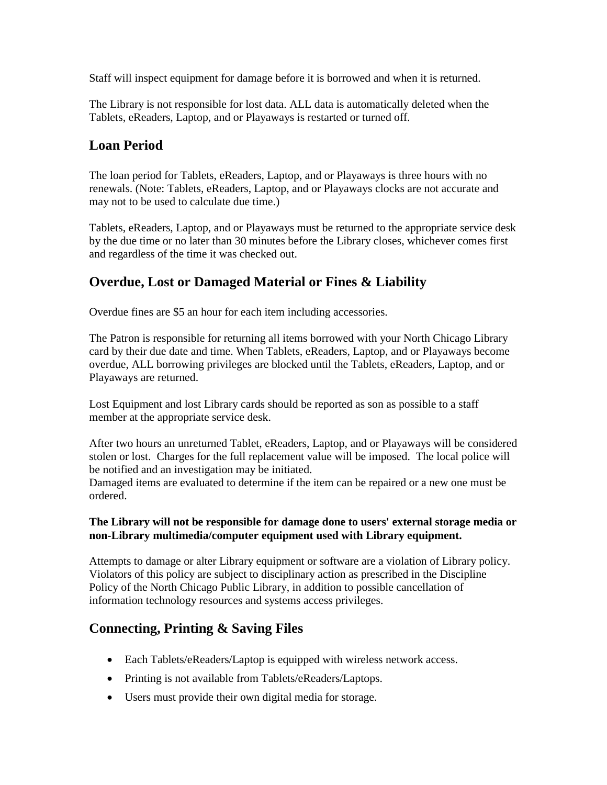Staff will inspect equipment for damage before it is borrowed and when it is returned.

The Library is not responsible for lost data. ALL data is automatically deleted when the Tablets, eReaders, Laptop, and or Playaways is restarted or turned off.

## **Loan Period**

The loan period for Tablets, eReaders, Laptop, and or Playaways is three hours with no renewals. (Note: Tablets, eReaders, Laptop, and or Playaways clocks are not accurate and may not to be used to calculate due time.)

Tablets, eReaders, Laptop, and or Playaways must be returned to the appropriate service desk by the due time or no later than 30 minutes before the Library closes, whichever comes first and regardless of the time it was checked out.

## **Overdue, Lost or Damaged Material or Fines & Liability**

Overdue fines are \$5 an hour for each item including accessories.

The Patron is responsible for returning all items borrowed with your North Chicago Library card by their due date and time. When Tablets, eReaders, Laptop, and or Playaways become overdue, ALL borrowing privileges are blocked until the Tablets, eReaders, Laptop, and or Playaways are returned.

Lost Equipment and lost Library cards should be reported as son as possible to a staff member at the appropriate service desk.

After two hours an unreturned Tablet, eReaders, Laptop, and or Playaways will be considered stolen or lost. Charges for the full replacement value will be imposed. The local police will be notified and an investigation may be initiated.

Damaged items are evaluated to determine if the item can be repaired or a new one must be ordered.

#### **The Library will not be responsible for damage done to users' external storage media or non-Library multimedia/computer equipment used with Library equipment.**

Attempts to damage or alter Library equipment or software are a violation of Library policy. Violators of this policy are subject to disciplinary action as prescribed in the Discipline Policy of the North Chicago Public Library, in addition to possible cancellation of information technology resources and systems access privileges.

## **Connecting, Printing & Saving Files**

- Each Tablets/eReaders/Laptop is equipped with wireless network access.
- Printing is not available from Tablets/eReaders/Laptops.
- Users must provide their own digital media for storage.